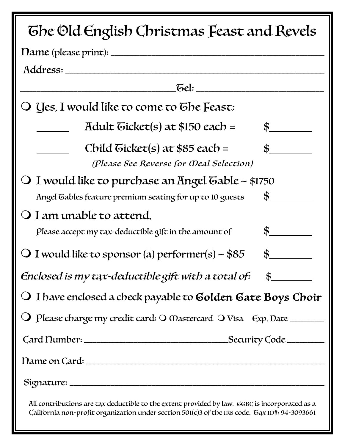| The Old English Christmas Feast and Revels                                                                                                                                                     |
|------------------------------------------------------------------------------------------------------------------------------------------------------------------------------------------------|
|                                                                                                                                                                                                |
| Address:                                                                                                                                                                                       |
|                                                                                                                                                                                                |
| O Yes, I would like to come to Ghe Feast:                                                                                                                                                      |
| Adult Gicket(s) at \$150 each =<br>$\ddot{\text{s}}$ $\frac{1}{\sqrt{2}}$                                                                                                                      |
| Child Gicket(s) at \$85 each =<br>\$<br>(Please See Reverse for Weal Selection)                                                                                                                |
| O I would like to purchase an Angel Gable ~ \$1750<br>$\frac{\text{S}}{\text{S}}$<br>Angel Gables feature premium seating for up to 10 guests                                                  |
| O I am unable to attend.<br>$\frac{\epsilon}{\epsilon}$<br>Please accept my tax-deductible gift in the amount of                                                                               |
| $\mathbf{s}$<br>O I would like to sponsor (a) performer(s) ~ $$85$                                                                                                                             |
| Enclosed is my tax-deductible gift with a total of:<br>$\mathbf{s}$                                                                                                                            |
| $\bigcirc$ I have enclosed a check payable to <b>Golden Gate Boys Choir</b>                                                                                                                    |
| O Please charge my credit card: O Wastercard O Visa Exp. Date                                                                                                                                  |
|                                                                                                                                                                                                |
|                                                                                                                                                                                                |
|                                                                                                                                                                                                |
| All contributions are tax deductible to the extent provided by law. GGBC is incorporated as a<br>California non-profit organization under section 501(c)3 of the IRS code. Gax ID#: 94-3093661 |